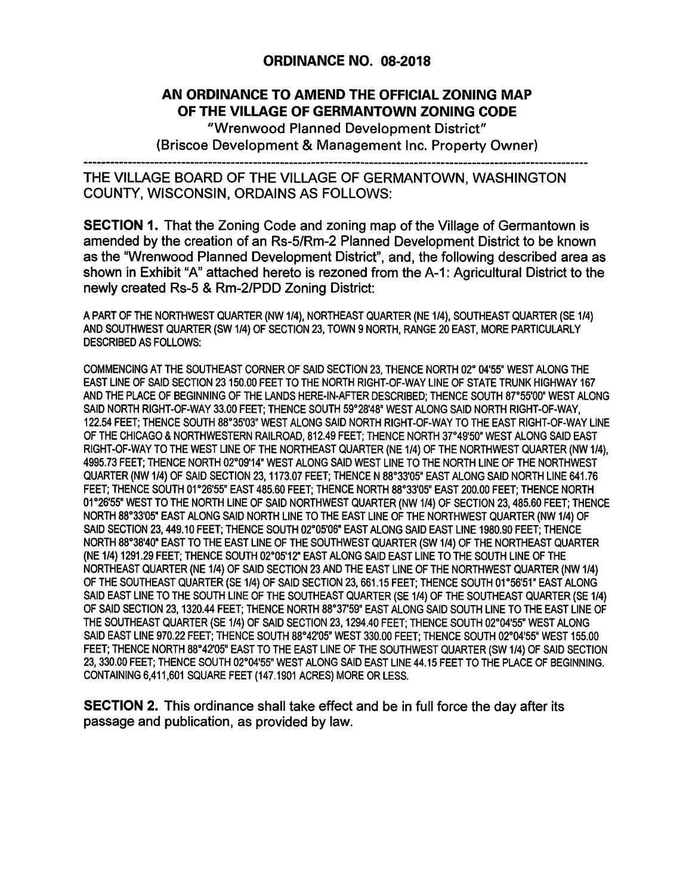## ORDINANCE NO. 08-2018

## AN ORDINANCE TO AMEND THE OFFICIAL ZONING MAP OF THE VILLAGE OF GERMANTOWN ZONING CODE

"Wrenwood Planned Development District" (Briscoe Development & Management Inc. Property Owner)

THE VILLAGE BOARD OF THE VILLAGE OF GERMANTOWN, WASHINGTON COUNTY, WISCONSIN, ORDAINS AS FOLLOWS:

SECTION 1. That the Zoning Code and zoning map of the Village of Germantown is amended by the creation of an Rs-5/Rm-2 Planned Development District to be known as the "Wrenwood Planned Development District", and, the following described area as shown in Exhibit "A" attached hereto is rezoned from the A-1: Agricultural District to the newly created Rs-5 & Rm-2/PDD Zoning District:

A PART OF THE NORTHWEST QUARTER (NW 1/4), NORTHEAST QUARTER (NE 1/4), SOUTHEAST QUARTER (SE 1/4) AND SOUTHWEST QUARTER (SW 1/4) OF SECTION 23, TOWN 9 NORTH, RANGE 20 EAST, MORE PARTICULARLY DESCRIBED AS FOLLOWS:

COMMENCING AT THE SOUTHEAST CORNER OF SAID SECTION 23, THENCE NORTH 02° 04'55" WEST ALONG THE EAST LINE OF SAID SECTION 23150.00 FEET TO THE NORTH RIGHT-OF-WAY LINE OF STATE TRUNK HIGHWAY 167 AND THE PLACE OF BEGINNING OF THE LANDS HERE-IN-AFTER DESCRIBED; THENCE SOUTH 87°55'00" WEST ALONG SAID NORTH RIGHT-OF-WAY 33.00 FEET; THENCE SOUTH 59°28'48" WEST ALONG SAID NORTH RIGHT-OF-WAY, 122.54 FEET; THENCE SOUTH 88°35'03" WEST ALONG SAID NORTH RIGHT-OF-WAY TO THE EAST RIGHT-OF-WAY LINE OF THE CHICAGO & NORTHWESTERN RAILROAD, 812.49 FEET; THENCE NORTH 37°49'50" WEST ALONG SAID EAST RIGHT-OF-WAY TO THE WEST LINE OF THE NORTHEAST QUARTER (NE 1/4) OF THE NORTHWEST QUARTER (NW 1/4), 4995.73 FEET; THENCE NORTH 02°09'14" WEST ALONG SAID WEST LINE TO THE NORTH LINE OF THE NORTHWEST QUARTER (NW 1/4) OF SAID SECTION 23, 1173.07 FEET; THENCE N 88°33'05<sup>1</sup> ' EAST ALONG SAID NORTH LINE 641.76 FEET; THENCE SOUTH 01°26'55" EAST 485.60 FEET; THENCE NORTH 88°33'05" EAST 200.00 FEET; THENCE NORTH 01°26'55" WEST TO THE NORTH LINE OF SAID NORTHWEST QUARTER (NW 1/4) OF SECTION 23, 485.60 FEET; THENCE NORTH 88°33'05" EAST ALONG SAID NORTH LINE TO THE EAST LINE OF THE NORTHWEST QUARTER (NW 1/4) OF SAID SECTION 23, 449.10 FEET; THENCE SOUTH 02°05'06" EAST ALONG SAID EAST LINE 1980.90 FEET; THENCE NORTH 88°38'40" EAST TO THE EAST LINE OF THE SOUTHWEST QUARTER (SW 1/4) OF THE NORTHEAST QUARTER (NE 1/4) 1291.29 FEET; THENCE SOUTH 02°05'12" EAST ALONG SAID EAST LINE TO THE SOUTH LINE OF THE NORTHEAST QUARTER (NE 1/4) OF SAID SECTION 23 AND THE EAST LINE OF THE NORTHWEST QUARTER (NW 1/4) OF THE SOUTHEAST QUARTER (SE 1/4) OF SAID SECTION 23, 661.15 FEET: THENCE SOUTH 01°56'51" EAST ALONG SAID EAST LINE TO THE SOUTH LINE OF THE SOUTHEAST QUARTER (SE 1/4) OF THE SOUTHEAST QUARTER (SE 1/4) OF SAID SECTION 23, 1320.44 FEET; THENCE NORTH 88°37'59" EAST ALONG SAID SOUTH LINE TO THE EAST LINE OF THE SOUTHEAST QUARTER (SE 1/4) OF SAID SECTION 23, 1294.40 FEET; THENCE SOUTH 02°04'55" WEST ALONG SAID EAST LINE 970.22 FEET; THENCE SOUTH 88°42′05" WEST 330.00 FEET; THENCE SOUTH 02°04′55" WEST 155.00 FEET; THENCE NORTH 88°42′05" EAST TO THE EAST LINE OF THE SOUTHWEST QUARTER (SW 1/4) OF SAID SECTION 23, 330.00 FEET; THENCE SOUTH 02°04'55" WEST ALONG SAID EAST LINE 44.15 FEET TO THE PLACE OF BEGINNING. CONTAINING 6,411,601 SQUARE FEET (147.1901 ACRES) MORE OR LESS.

SECTION 2. This ordinance shall take effect and be in full force the day after its passage and publication, as provided by law.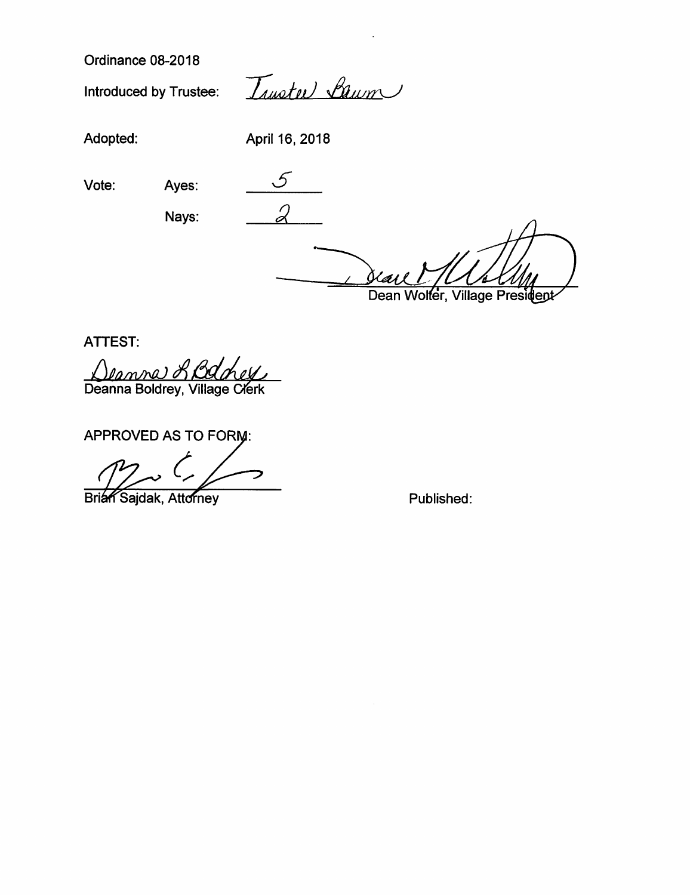Ordinance 08-2018

Introduced by Trustee:  $\frac{1}{\sqrt{u}}$ 

Adopted: April 16, 2018

Vote:  $Ayes:$   $5$ 

Nays:

 $\overline{2}$ 

(as l

Dean Wolfer, Village President

ATTEST:

<u>(Deanve) & Baney</u><br>Deanna Boldrey, Village Clerk

APPROVED AS TO FOR

Brian Sajdak, Attorney

Published: